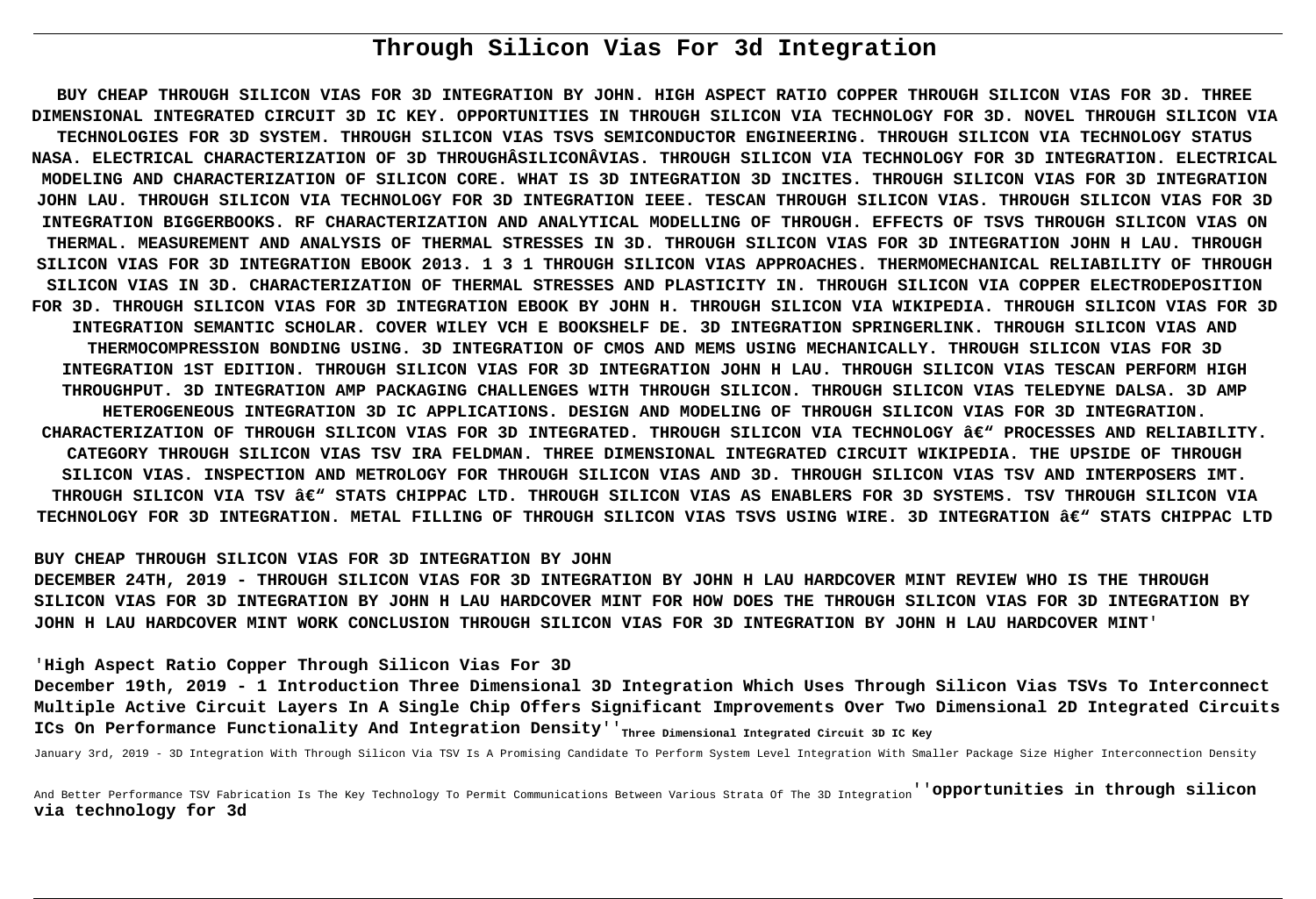# **Through Silicon Vias For 3d Integration**

**BUY CHEAP THROUGH SILICON VIAS FOR 3D INTEGRATION BY JOHN. HIGH ASPECT RATIO COPPER THROUGH SILICON VIAS FOR 3D. THREE DIMENSIONAL INTEGRATED CIRCUIT 3D IC KEY. OPPORTUNITIES IN THROUGH SILICON VIA TECHNOLOGY FOR 3D. NOVEL THROUGH SILICON VIA TECHNOLOGIES FOR 3D SYSTEM. THROUGH SILICON VIAS TSVS SEMICONDUCTOR ENGINEERING. THROUGH SILICON VIA TECHNOLOGY STATUS NASA. ELECTRICAL CHARACTERIZATION OF 3D THROUGHÂSILICONÂVIAS. THROUGH SILICON VIA TECHNOLOGY FOR 3D INTEGRATION. ELECTRICAL MODELING AND CHARACTERIZATION OF SILICON CORE. WHAT IS 3D INTEGRATION 3D INCITES. THROUGH SILICON VIAS FOR 3D INTEGRATION JOHN LAU. THROUGH SILICON VIA TECHNOLOGY FOR 3D INTEGRATION IEEE. TESCAN THROUGH SILICON VIAS. THROUGH SILICON VIAS FOR 3D INTEGRATION BIGGERBOOKS. RF CHARACTERIZATION AND ANALYTICAL MODELLING OF THROUGH. EFFECTS OF TSVS THROUGH SILICON VIAS ON THERMAL. MEASUREMENT AND ANALYSIS OF THERMAL STRESSES IN 3D. THROUGH SILICON VIAS FOR 3D INTEGRATION JOHN H LAU. THROUGH SILICON VIAS FOR 3D INTEGRATION EBOOK 2013. 1 3 1 THROUGH SILICON VIAS APPROACHES. THERMOMECHANICAL RELIABILITY OF THROUGH SILICON VIAS IN 3D. CHARACTERIZATION OF THERMAL STRESSES AND PLASTICITY IN. THROUGH SILICON VIA COPPER ELECTRODEPOSITION FOR 3D. THROUGH SILICON VIAS FOR 3D INTEGRATION EBOOK BY JOHN H. THROUGH SILICON VIA WIKIPEDIA. THROUGH SILICON VIAS FOR 3D INTEGRATION SEMANTIC SCHOLAR. COVER WILEY VCH E BOOKSHELF DE. 3D INTEGRATION SPRINGERLINK. THROUGH SILICON VIAS AND THERMOCOMPRESSION BONDING USING. 3D INTEGRATION OF CMOS AND MEMS USING MECHANICALLY. THROUGH SILICON VIAS FOR 3D INTEGRATION 1ST EDITION. THROUGH SILICON VIAS FOR 3D INTEGRATION JOHN H LAU. THROUGH SILICON VIAS TESCAN PERFORM HIGH THROUGHPUT. 3D INTEGRATION AMP PACKAGING CHALLENGES WITH THROUGH SILICON. THROUGH SILICON VIAS TELEDYNE DALSA. 3D AMP HETEROGENEOUS INTEGRATION 3D IC APPLICATIONS. DESIGN AND MODELING OF THROUGH SILICON VIAS FOR 3D INTEGRATION. CHARACTERIZATION OF THROUGH SILICON VIAS FOR 3D INTEGRATED. THROUGH SILICON VIA TECHNOLOGY – PROCESSES AND RELIABILITY. CATEGORY THROUGH SILICON VIAS TSV IRA FELDMAN. THREE DIMENSIONAL INTEGRATED CIRCUIT WIKIPEDIA. THE UPSIDE OF THROUGH SILICON VIAS. INSPECTION AND METROLOGY FOR THROUGH SILICON VIAS AND 3D. THROUGH SILICON VIAS TSV AND INTERPOSERS IMT.** THROUGH SILICON VIA TSV â€<sup>w</sup> STATS CHIPPAC LTD. THROUGH SILICON VIAS AS ENABLERS FOR 3D SYSTEMS. TSV THROUGH SILICON VIA TECHNOLOGY FOR 3D INTEGRATION. METAL FILLING OF THROUGH SILICON VIAS TSVS USING WIRE. 3D INTEGRATION ' STATS CHIPPAC LTD

### **BUY CHEAP THROUGH SILICON VIAS FOR 3D INTEGRATION BY JOHN**

**DECEMBER 24TH, 2019 - THROUGH SILICON VIAS FOR 3D INTEGRATION BY JOHN H LAU HARDCOVER MINT REVIEW WHO IS THE THROUGH SILICON VIAS FOR 3D INTEGRATION BY JOHN H LAU HARDCOVER MINT FOR HOW DOES THE THROUGH SILICON VIAS FOR 3D INTEGRATION BY JOHN H LAU HARDCOVER MINT WORK CONCLUSION THROUGH SILICON VIAS FOR 3D INTEGRATION BY JOHN H LAU HARDCOVER MINT**'

### '**High Aspect Ratio Copper Through Silicon Vias For 3D**

**December 19th, 2019 - 1 Introduction Three Dimensional 3D Integration Which Uses Through Silicon Vias TSVs To Interconnect Multiple Active Circuit Layers In A Single Chip Offers Significant Improvements Over Two Dimensional 2D Integrated Circuits** ICs On Performance Functionality And Integration Density''<sub>Three Dimensional Integrated Circuit 3D IC Key</sub>

January 3rd, 2019 - 3D Integration With Through Silicon Via TSV Is A Promising Candidate To Perform System Level Integration With Smaller Package Size Higher Interconnection Density

And Better Performance TSV Fabrication Is The Key Technology To Permit Communications Between Various Strata Of The 3D Integration''**opportunities in through silicon via technology for 3d**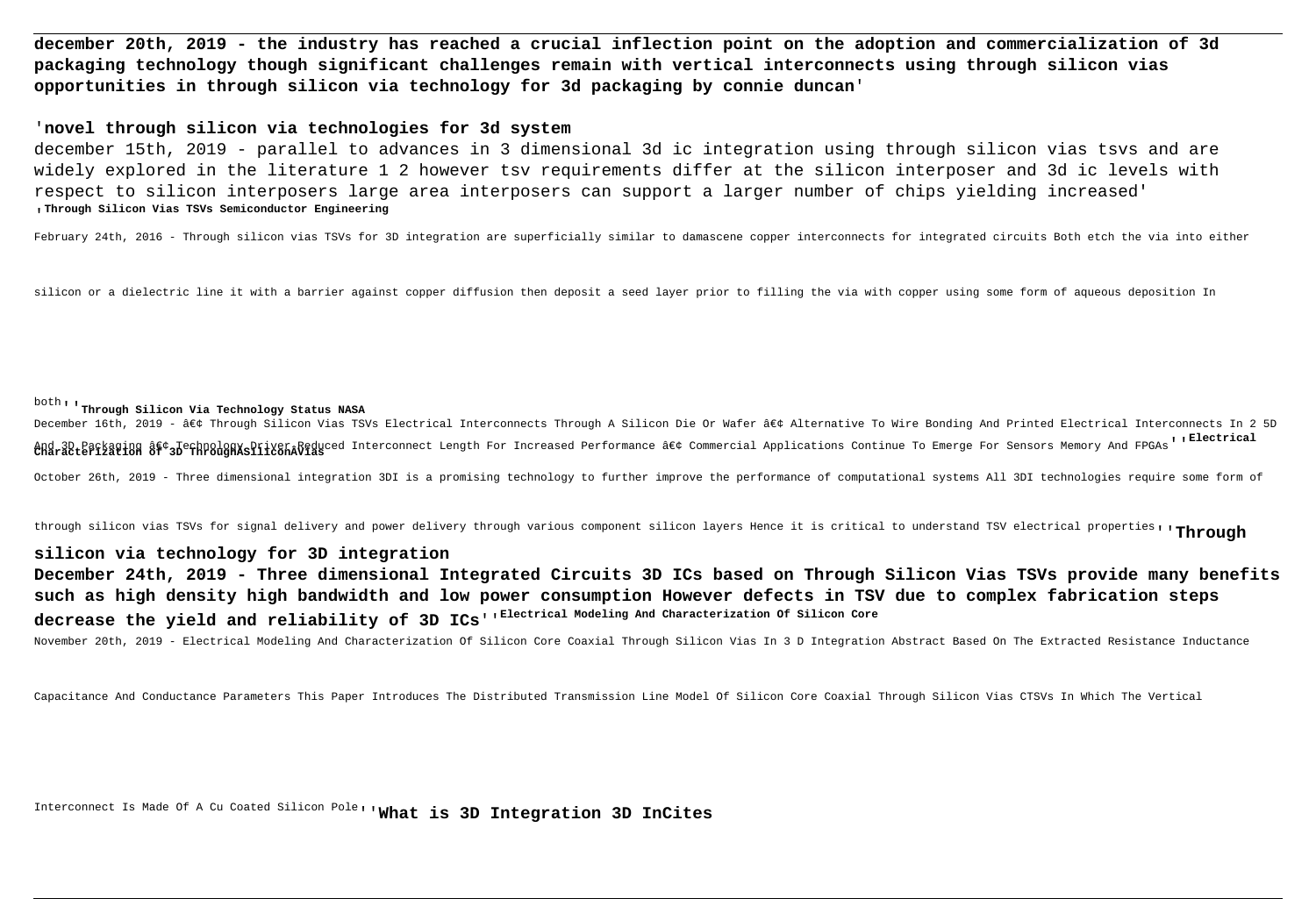**december 20th, 2019 - the industry has reached a crucial inflection point on the adoption and commercialization of 3d packaging technology though significant challenges remain with vertical interconnects using through silicon vias opportunities in through silicon via technology for 3d packaging by connie duncan**'

### '**novel through silicon via technologies for 3d system**

december 15th, 2019 - parallel to advances in 3 dimensional 3d ic integration using through silicon vias tsvs and are widely explored in the literature 1 2 however tsv requirements differ at the silicon interposer and 3d ic levels with respect to silicon interposers large area interposers can support a larger number of chips yielding increased' '**Through Silicon Vias TSVs Semiconductor Engineering**

February 24th, 2016 - Through silicon vias TSVs for 3D integration are superficially similar to damascene copper interconnects for integrated circuits Both etch the via into either

silicon or a dielectric line it with a barrier against copper diffusion then deposit a seed layer prior to filling the via with copper using some form of aqueous deposition In

# both''**Through Silicon Via Technology Status NASA**

December 16th, 2019 - • Through Silicon Vias TSVs Electrical Interconnects Through A Silicon Die Or Wafer • Alternative To Wire Bonding And Printed Electrical Interconnects In 2 5D And 3D Packaging • JechnologKsDriver&Reduced Interconnect Length For Increased Performance • Commercial Applications Continue To Emerge For Sensors Memory And FPGAs'' Blectrical<br>Characterization of 3D ThroughXsiliconâ

October 26th, 2019 - Three dimensional integration 3DI is a promising technology to further improve the performance of computational systems All 3DI technologies require some form of

through silicon vias TSVs for signal delivery and power delivery through various component silicon layers Hence it is critical to understand TSV electrical properties''**Through**

# **silicon via technology for 3D integration**

**December 24th, 2019 - Three dimensional Integrated Circuits 3D ICs based on Through Silicon Vias TSVs provide many benefits such as high density high bandwidth and low power consumption However defects in TSV due to complex fabrication steps decrease the yield and reliability of 3D ICs**''**Electrical Modeling And Characterization Of Silicon Core**

November 20th, 2019 - Electrical Modeling And Characterization Of Silicon Core Coaxial Through Silicon Vias In 3 D Integration Abstract Based On The Extracted Resistance Inductance

Capacitance And Conductance Parameters This Paper Introduces The Distributed Transmission Line Model Of Silicon Core Coaxial Through Silicon Vias CTSVs In Which The Vertical

Interconnect Is Made Of A Cu Coated Silicon Pole''**What is 3D Integration 3D InCites**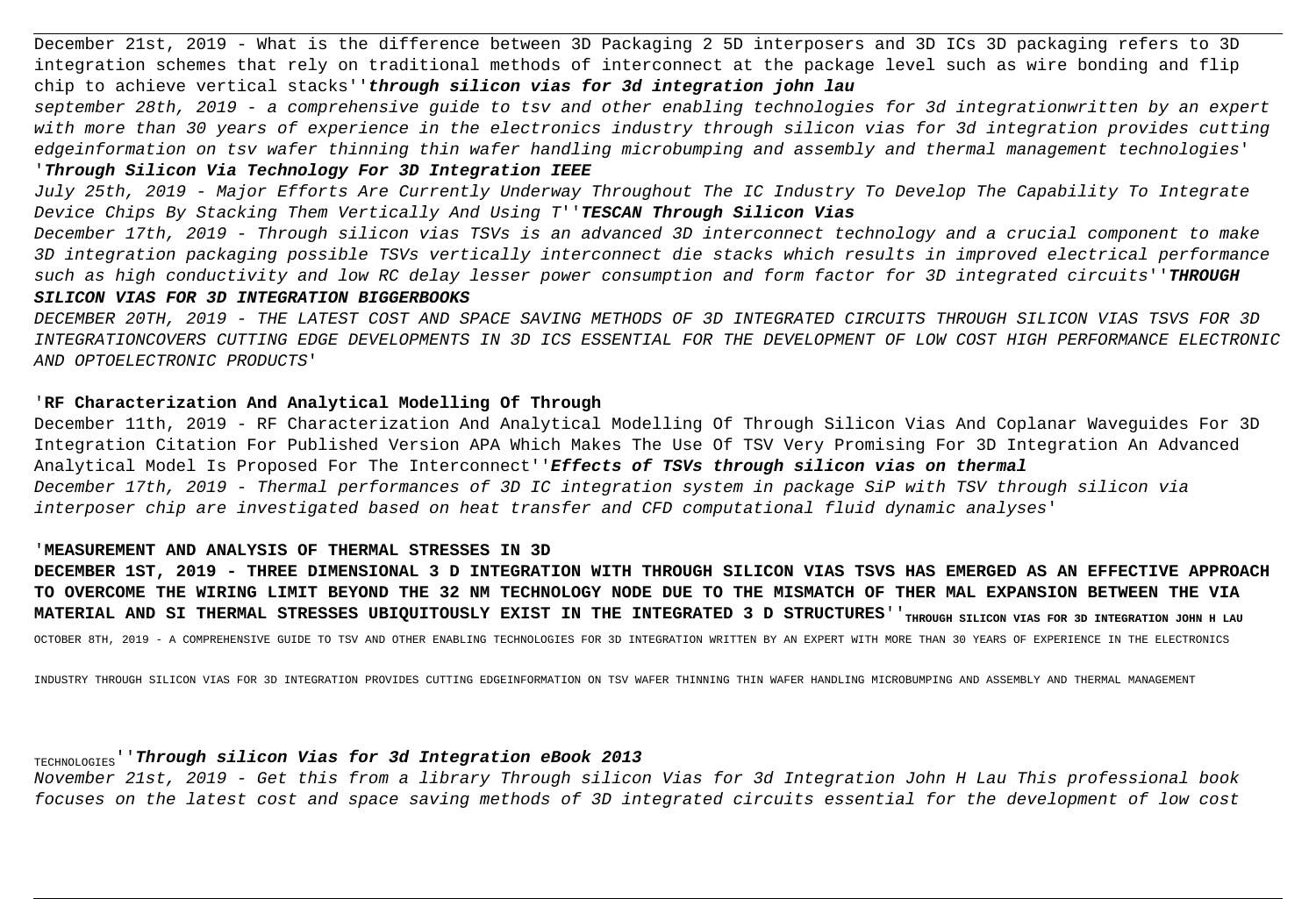December 21st, 2019 - What is the difference between 3D Packaging 2 5D interposers and 3D ICs 3D packaging refers to 3D integration schemes that rely on traditional methods of interconnect at the package level such as wire bonding and flip chip to achieve vertical stacks''**through silicon vias for 3d integration john lau**

september 28th, 2019 - a comprehensive guide to tsv and other enabling technologies for 3d integrationwritten by an expert with more than 30 years of experience in the electronics industry through silicon vias for 3d integration provides cutting edgeinformation on tsv wafer thinning thin wafer handling microbumping and assembly and thermal management technologies'

# '**Through Silicon Via Technology For 3D Integration IEEE**

July 25th, 2019 - Major Efforts Are Currently Underway Throughout The IC Industry To Develop The Capability To Integrate Device Chips By Stacking Them Vertically And Using T''**TESCAN Through Silicon Vias**

December 17th, 2019 - Through silicon vias TSVs is an advanced 3D interconnect technology and a crucial component to make 3D integration packaging possible TSVs vertically interconnect die stacks which results in improved electrical performance such as high conductivity and low RC delay lesser power consumption and form factor for 3D integrated circuits''**THROUGH SILICON VIAS FOR 3D INTEGRATION BIGGERBOOKS**

DECEMBER 20TH, 2019 - THE LATEST COST AND SPACE SAVING METHODS OF 3D INTEGRATED CIRCUITS THROUGH SILICON VIAS TSVS FOR 3D INTEGRATIONCOVERS CUTTING EDGE DEVELOPMENTS IN 3D ICS ESSENTIAL FOR THE DEVELOPMENT OF LOW COST HIGH PERFORMANCE ELECTRONIC AND OPTOELECTRONIC PRODUCTS'

# '**RF Characterization And Analytical Modelling Of Through**

December 11th, 2019 - RF Characterization And Analytical Modelling Of Through Silicon Vias And Coplanar Waveguides For 3D Integration Citation For Published Version APA Which Makes The Use Of TSV Very Promising For 3D Integration An Advanced Analytical Model Is Proposed For The Interconnect''**Effects of TSVs through silicon vias on thermal** December 17th, 2019 - Thermal performances of 3D IC integration system in package SiP with TSV through silicon via interposer chip are investigated based on heat transfer and CFD computational fluid dynamic analyses'

# '**MEASUREMENT AND ANALYSIS OF THERMAL STRESSES IN 3D**

**DECEMBER 1ST, 2019 - THREE DIMENSIONAL 3 D INTEGRATION WITH THROUGH SILICON VIAS TSVS HAS EMERGED AS AN EFFECTIVE APPROACH TO OVERCOME THE WIRING LIMIT BEYOND THE 32 NM TECHNOLOGY NODE DUE TO THE MISMATCH OF THER MAL EXPANSION BETWEEN THE VIA** MATERIAL AND SI THERMAL STRESSES UBIQUITOUSLY EXIST IN THE INTEGRATED 3 D STRUCTURES<sup>''</sup>THROUGH SILICON VIAS FOR 3D INTEGRATION JOHN H LAU OCTOBER 8TH, 2019 - A COMPREHENSIVE GUIDE TO TSV AND OTHER ENABLING TECHNOLOGIES FOR 3D INTEGRATION WRITTEN BY AN EXPERT WITH MORE THAN 30 YEARS OF EXPERIENCE IN THE ELECTRONICS

INDUSTRY THROUGH SILICON VIAS FOR 3D INTEGRATION PROVIDES CUTTING EDGEINFORMATION ON TSV WAFER THINNING THIN WAFER HANDLING MICROBUMPING AND ASSEMBLY AND THERMAL MANAGEMENT

# TECHNOLOGIES''**Through silicon Vias for 3d Integration eBook 2013**

November 21st, 2019 - Get this from a library Through silicon Vias for 3d Integration John H Lau This professional book focuses on the latest cost and space saving methods of 3D integrated circuits essential for the development of low cost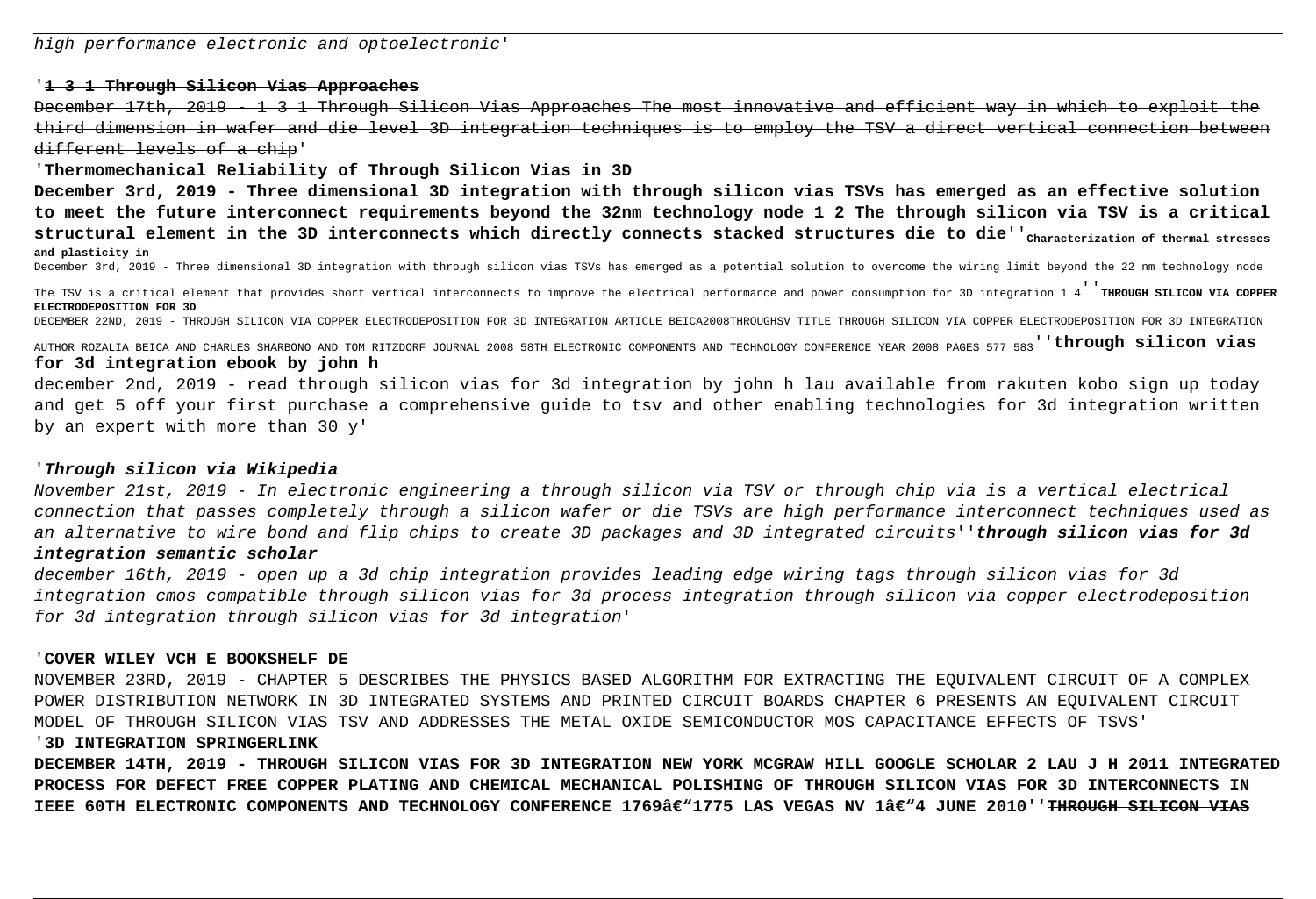# '**1 3 1 Through Silicon Vias Approaches**

December 17th, 2019 - 1 3 1 Through Silicon Vias Approaches The most innovative and efficient way in which to exploit the third dimension in wafer and die level 3D integration techniques is to employ the TSV a direct vertical connection between different levels of a chip'

'**Thermomechanical Reliability of Through Silicon Vias in 3D**

**December 3rd, 2019 - Three dimensional 3D integration with through silicon vias TSVs has emerged as an effective solution to meet the future interconnect requirements beyond the 32nm technology node 1 2 The through silicon via TSV is a critical** structural element in the 3D interconnects which directly connects stacked structures die to die''<sub>Characterization of thermal stresses</sub> **and plasticity in**

December 3rd, 2019 - Three dimensional 3D integration with through silicon vias TSVs has emerged as a potential solution to overcome the wiring limit beyond the 22 nm technology node

The TSV is a critical element that provides short vertical interconnects to improve the electrical performance and power consumption for 3D integration 1 4''**THROUGH SILICON VIA COPPER ELECTRODEPOSITION FOR 3D**

DECEMBER 22ND, 2019 - THROUGH SILICON VIA COPPER ELECTRODEPOSITION FOR 3D INTEGRATION ARTICLE BEICA2008THROUGHSV TITLE THROUGH SILICON VIA COPPER ELECTRODEPOSITION FOR 3D INTEGRATION

AUTHOR ROZALIA BEICA AND CHARLES SHARBONO AND TOM RITZDORF JOURNAL 2008 58TH ELECTRONIC COMPONENTS AND TECHNOLOGY CONFERENCE YEAR 2008 PAGES 577 583''**through silicon vias for 3d integration ebook by john h**

december 2nd, 2019 - read through silicon vias for 3d integration by john h lau available from rakuten kobo sign up today and get 5 off your first purchase a comprehensive guide to tsv and other enabling technologies for 3d integration written by an expert with more than 30 y'

# '**Through silicon via Wikipedia**

November 21st, 2019 - In electronic engineering a through silicon via TSV or through chip via is a vertical electrical connection that passes completely through a silicon wafer or die TSVs are high performance interconnect techniques used as an alternative to wire bond and flip chips to create 3D packages and 3D integrated circuits''**through silicon vias for 3d integration semantic scholar**

december 16th, 2019 - open up a 3d chip integration provides leading edge wiring tags through silicon vias for 3d integration cmos compatible through silicon vias for 3d process integration through silicon via copper electrodeposition for 3d integration through silicon vias for 3d integration'

# '**COVER WILEY VCH E BOOKSHELF DE**

NOVEMBER 23RD, 2019 - CHAPTER 5 DESCRIBES THE PHYSICS BASED ALGORITHM FOR EXTRACTING THE EQUIVALENT CIRCUIT OF A COMPLEX POWER DISTRIBUTION NETWORK IN 3D INTEGRATED SYSTEMS AND PRINTED CIRCUIT BOARDS CHAPTER 6 PRESENTS AN EQUIVALENT CIRCUIT MODEL OF THROUGH SILICON VIAS TSV AND ADDRESSES THE METAL OXIDE SEMICONDUCTOR MOS CAPACITANCE EFFECTS OF TSVS'

# '**3D INTEGRATION SPRINGERLINK**

**DECEMBER 14TH, 2019 - THROUGH SILICON VIAS FOR 3D INTEGRATION NEW YORK MCGRAW HILL GOOGLE SCHOLAR 2 LAU J H 2011 INTEGRATED PROCESS FOR DEFECT FREE COPPER PLATING AND CHEMICAL MECHANICAL POLISHING OF THROUGH SILICON VIAS FOR 3D INTERCONNECTS IN** IEEE 60TH ELECTRONIC COMPONENTS AND TECHNOLOGY CONFERENCE 1769â€"1775 LAS VEGAS NV 1â€"4 JUNE 2010''<del>THROUGH SILICON VIAS</del>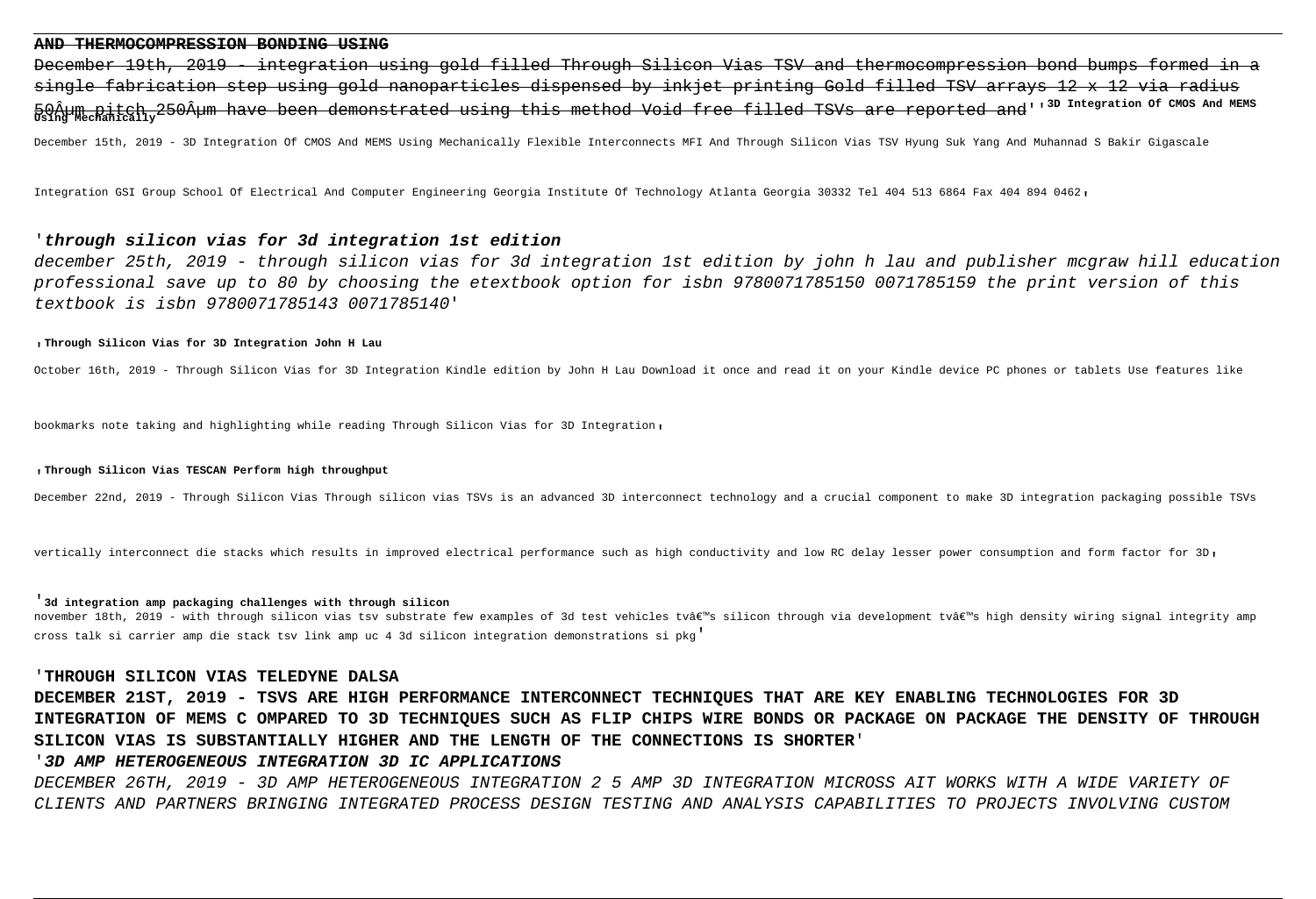#### **AND THERMOCOMPRESSION BONDING USING**

December 19th, 2019 - integration using gold filled Through Silicon Vias TSV and thermocompression bond bumps formed in a single fabrication step using gold nanoparticles dispensed by inkjet printing Gold filled TSV arrays 12 x 12 via radius 50Âum pitch 250µm have been demonstrated using this method Void free filled TSVs are reported and''<sup>3D Integration of CMOS And MEMS</sup><br>Using Mechanically<sup>250</sup>µm have been demonstrated using this method Void free filled TSV

December 15th, 2019 - 3D Integration Of CMOS And MEMS Using Mechanically Flexible Interconnects MFI And Through Silicon Vias TSV Hyung Suk Yang And Muhannad S Bakir Gigascale

Integration GSI Group School Of Electrical And Computer Engineering Georgia Institute Of Technology Atlanta Georgia 30332 Tel 404 513 6864 Fax 404 894 0462'

# '**through silicon vias for 3d integration 1st edition**

december 25th, 2019 - through silicon vias for 3d integration 1st edition by john h lau and publisher mcgraw hill education professional save up to 80 by choosing the etextbook option for isbn 9780071785150 0071785159 the print version of this textbook is isbn 9780071785143 0071785140'

#### '**Through Silicon Vias for 3D Integration John H Lau**

October 16th, 2019 - Through Silicon Vias for 3D Integration Kindle edition by John H Lau Download it once and read it on your Kindle device PC phones or tablets Use features like

bookmarks note taking and highlighting while reading Through Silicon Vias for 3D Integration,

#### '**Through Silicon Vias TESCAN Perform high throughput**

December 22nd, 2019 - Through Silicon Vias Through silicon vias TSVs is an advanced 3D interconnect technology and a crucial component to make 3D integration packaging possible TSVs

vertically interconnect die stacks which results in improved electrical performance such as high conductivity and low RC delay lesser power consumption and form factor for 3D.

#### '**3d integration amp packaging challenges with through silicon**

november 18th, 2019 – with through silicon vias tsv substrate few examples of 3d test vehicles tv's silicon through via development tv's high density wiring signal integrity amp cross talk si carrier amp die stack tsv link amp uc 4 3d silicon integration demonstrations si pkg'

### '**THROUGH SILICON VIAS TELEDYNE DALSA**

**DECEMBER 21ST, 2019 - TSVS ARE HIGH PERFORMANCE INTERCONNECT TECHNIQUES THAT ARE KEY ENABLING TECHNOLOGIES FOR 3D INTEGRATION OF MEMS C OMPARED TO 3D TECHNIQUES SUCH AS FLIP CHIPS WIRE BONDS OR PACKAGE ON PACKAGE THE DENSITY OF THROUGH SILICON VIAS IS SUBSTANTIALLY HIGHER AND THE LENGTH OF THE CONNECTIONS IS SHORTER**'

### '**3D AMP HETEROGENEOUS INTEGRATION 3D IC APPLICATIONS**

DECEMBER 26TH, 2019 - 3D AMP HETEROGENEOUS INTEGRATION 2 5 AMP 3D INTEGRATION MICROSS AIT WORKS WITH A WIDE VARIETY OF CLIENTS AND PARTNERS BRINGING INTEGRATED PROCESS DESIGN TESTING AND ANALYSIS CAPABILITIES TO PROJECTS INVOLVING CUSTOM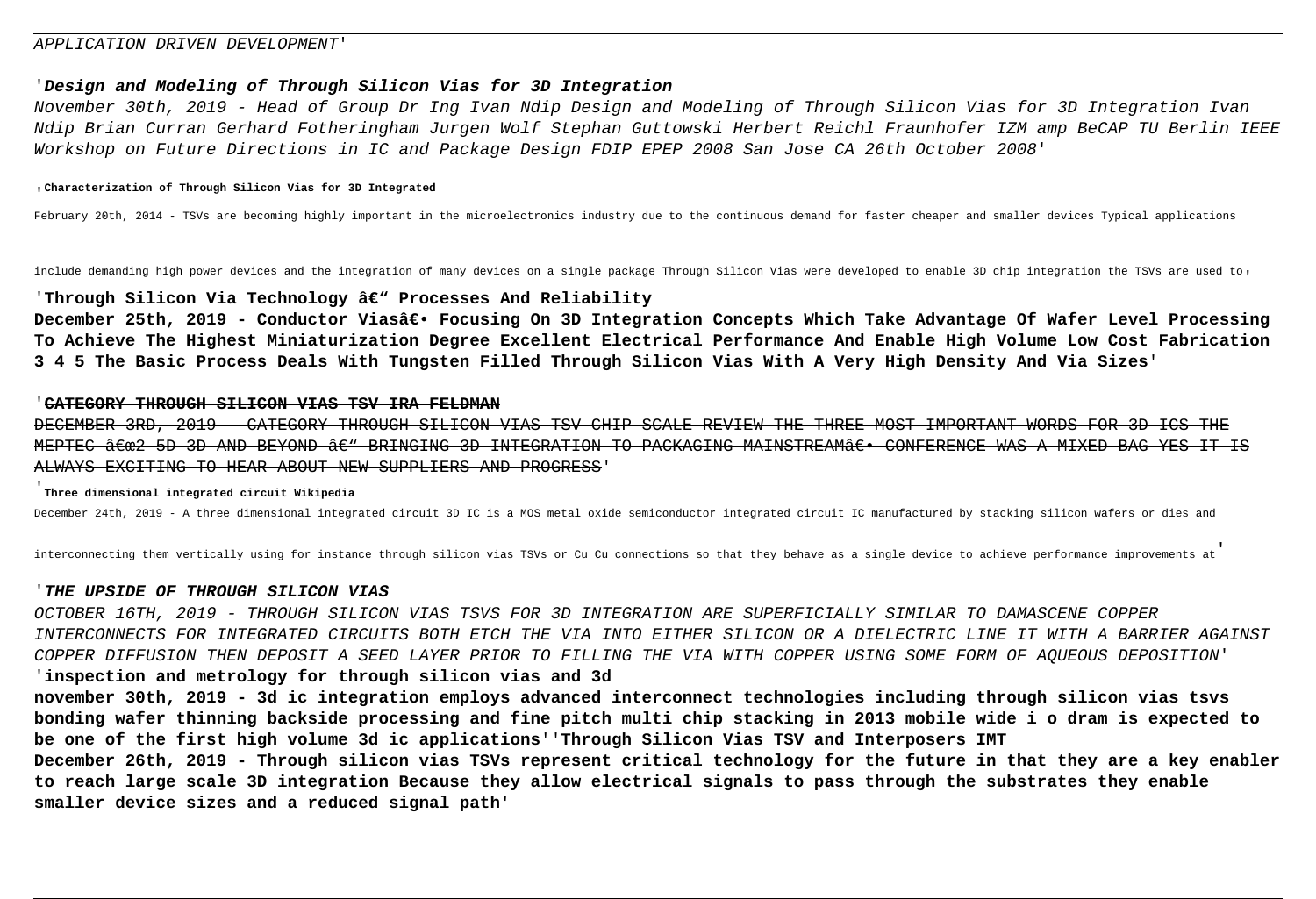### APPLICATION DRIVEN DEVELOPMENT'

# '**Design and Modeling of Through Silicon Vias for 3D Integration**

November 30th, 2019 - Head of Group Dr Ing Ivan Ndip Design and Modeling of Through Silicon Vias for 3D Integration Ivan Ndip Brian Curran Gerhard Fotheringham Jurgen Wolf Stephan Guttowski Herbert Reichl Fraunhofer IZM amp BeCAP TU Berlin IEEE Workshop on Future Directions in IC and Package Design FDIP EPEP 2008 San Jose CA 26th October 2008'

#### '**Characterization of Through Silicon Vias for 3D Integrated**

February 20th, 2014 - TSVs are becoming highly important in the microelectronics industry due to the continuous demand for faster cheaper and smaller devices Typical applications

include demanding high power devices and the integration of many devices on a single package Through Silicon Vias were developed to enable 3D chip integration the TSVs are used to,

### 'Through Silicon Via Technology â€" Processes And Reliability

December 25th, 2019 - Conductor Vias― Focusing On 3D Integration Concepts Which Take Advantage Of Wafer Level Processing **To Achieve The Highest Miniaturization Degree Excellent Electrical Performance And Enable High Volume Low Cost Fabrication 3 4 5 The Basic Process Deals With Tungsten Filled Through Silicon Vias With A Very High Density And Via Sizes**'

### '**CATEGORY THROUGH SILICON VIAS TSV IRA FELDMAN**

DECEMBER 3RD, 2019 - CATEGORY THROUGH SILICON VIAS TSV CHIP SCALE REVIEW THE THREE MOST IMPORTANT WORDS FOR 3D ICS THE MEPTEC  $\frac{\partial}{\partial \epsilon}$  5D 3D AND BEYOND  $\frac{\partial}{\partial \epsilon}$  BRINGING 3D INTEGRATION TO PACKAGING MAINSTREAM $\frac{\partial}{\partial \epsilon}$  CONFERENCE WAS A MIXED BAG YES IT IS ALWAYS EXCITING TO HEAR ABOUT NEW SUPPLIERS AND PROGRESS'

# '**Three dimensional integrated circuit Wikipedia**

December 24th, 2019 - A three dimensional integrated circuit 3D IC is a MOS metal oxide semiconductor integrated circuit IC manufactured by stacking silicon wafers or dies and

interconnecting them vertically using for instance through silicon vias TSVs or Cu Cu connections so that they behave as a single device to achieve performance improvements at'

### '**THE UPSIDE OF THROUGH SILICON VIAS**

OCTOBER 16TH, 2019 - THROUGH SILICON VIAS TSVS FOR 3D INTEGRATION ARE SUPERFICIALLY SIMILAR TO DAMASCENE COPPER INTERCONNECTS FOR INTEGRATED CIRCUITS BOTH ETCH THE VIA INTO EITHER SILICON OR A DIELECTRIC LINE IT WITH A BARRIER AGAINST COPPER DIFFUSION THEN DEPOSIT A SEED LAYER PRIOR TO FILLING THE VIA WITH COPPER USING SOME FORM OF AQUEOUS DEPOSITION'

# '**inspection and metrology for through silicon vias and 3d**

**november 30th, 2019 - 3d ic integration employs advanced interconnect technologies including through silicon vias tsvs bonding wafer thinning backside processing and fine pitch multi chip stacking in 2013 mobile wide i o dram is expected to be one of the first high volume 3d ic applications**''**Through Silicon Vias TSV and Interposers IMT December 26th, 2019 - Through silicon vias TSVs represent critical technology for the future in that they are a key enabler**

**to reach large scale 3D integration Because they allow electrical signals to pass through the substrates they enable smaller device sizes and a reduced signal path**'